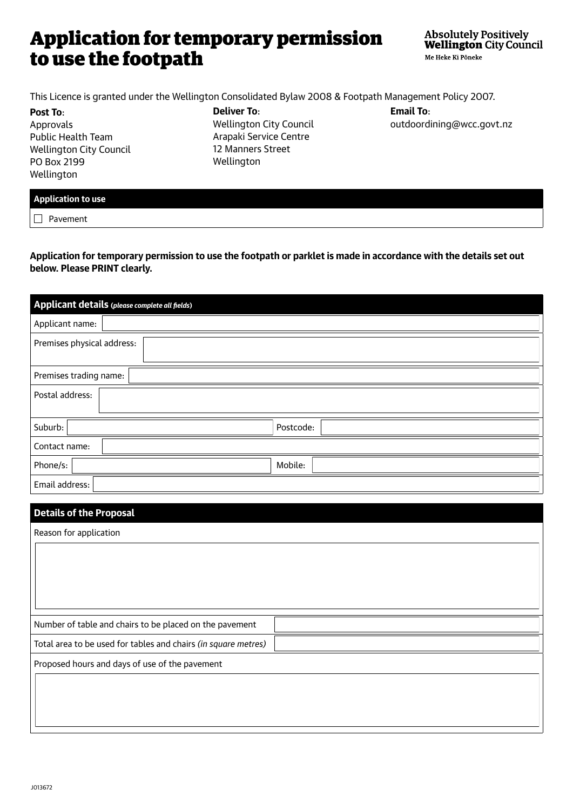## Application for temporary permission to use the footpath

This Licence is granted under the Wellington Consolidated Bylaw 2008 & Footpath Management Policy 2007.

**Post To**: Approvals Public Health Team Wellington City Council PO Box 2199 Wellington

**Deliver To**: Wellington City Council Arapaki Service Centre 12 Manners Street Wellington

**Email To**: outdoordining@wcc.govt.nz

|--|

 $\Box$  Pavement

**Application for temporary permission to use the footpath or parklet is made in accordance with the details set out below. Please PRINT clearly.**

| Applicant details (please complete all fields) |
|------------------------------------------------|
| Applicant name:                                |
| Premises physical address:                     |
| Premises trading name:                         |
| Postal address:                                |
| Suburb:<br>Postcode:                           |
| Contact name:                                  |
| Mobile:<br>Phone/s:                            |
| Email address:                                 |

| <b>Details of the Proposal</b>                                 |
|----------------------------------------------------------------|
| Reason for application                                         |
|                                                                |
|                                                                |
|                                                                |
|                                                                |
| Number of table and chairs to be placed on the pavement        |
| Total area to be used for tables and chairs (in square metres) |
| Proposed hours and days of use of the pavement                 |
|                                                                |
|                                                                |
|                                                                |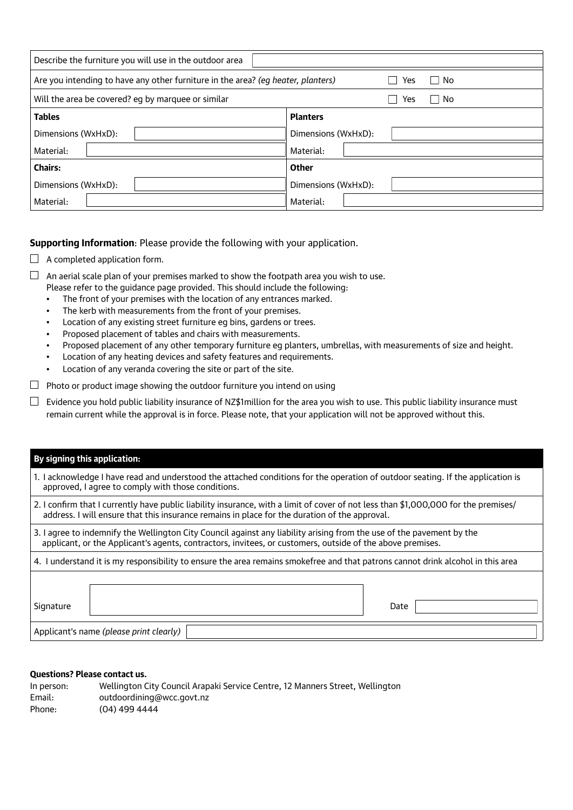| Describe the furniture you will use in the outdoor area                                         |                     |  |  |
|-------------------------------------------------------------------------------------------------|---------------------|--|--|
| Are you intending to have any other furniture in the area? (eg heater, planters)<br>l No<br>Yes |                     |  |  |
| Will the area be covered? eg by marquee or similar                                              | l No<br>Yes         |  |  |
| <b>Tables</b>                                                                                   | <b>Planters</b>     |  |  |
| Dimensions (WxHxD):                                                                             | Dimensions (WxHxD): |  |  |
| Material:                                                                                       | Material:           |  |  |
| <b>Chairs:</b>                                                                                  | <b>Other</b>        |  |  |
| Dimensions (WxHxD):                                                                             | Dimensions (WxHxD): |  |  |
| Material:                                                                                       | Material:           |  |  |

## **Supporting Information**: Please provide the following with your application.

 $\Box$  A completed application form.

 $\Box$  An aerial scale plan of your premises marked to show the footpath area you wish to use. Please refer to the guidance page provided. This should include the following:

- The front of your premises with the location of any entrances marked.
- The kerb with measurements from the front of your premises.
- Location of any existing street furniture eg bins, gardens or trees.
- Proposed placement of tables and chairs with measurements.
- Proposed placement of any other temporary furniture eg planters, umbrellas, with measurements of size and height.
- Location of any heating devices and safety features and requirements.
- Location of any veranda covering the site or part of the site.

 $\Box$  Photo or product image showing the outdoor furniture you intend on using

 $\Box$  Evidence you hold public liability insurance of NZ\$1million for the area you wish to use. This public liability insurance must remain current while the approval is in force. Please note, that your application will not be approved without this.

| By signing this application:                                                                                                                                                                                                         |  |
|--------------------------------------------------------------------------------------------------------------------------------------------------------------------------------------------------------------------------------------|--|
| 1. I acknowledge I have read and understood the attached conditions for the operation of outdoor seating. If the application is<br>approved, I agree to comply with those conditions.                                                |  |
| 2. I confirm that I currently have public liability insurance, with a limit of cover of not less than \$1,000,000 for the premises/<br>address. I will ensure that this insurance remains in place for the duration of the approval. |  |
| 3. I agree to indemnify the Wellington City Council against any liability arising from the use of the pavement by the<br>applicant, or the Applicant's agents, contractors, invitees, or customers, outside of the above premises.   |  |
| 4. I understand it is my responsibility to ensure the area remains smokefree and that patrons cannot drink alcohol in this area                                                                                                      |  |
|                                                                                                                                                                                                                                      |  |
| Signature<br>Date                                                                                                                                                                                                                    |  |
| Applicant's name (please print clearly)                                                                                                                                                                                              |  |

## **Questions? Please contact us.**

| In person: | Wellington City Council Arapaki Service Centre, 12 Manners Street, Wellington |
|------------|-------------------------------------------------------------------------------|
| Email:     | outdoordining@wcc.govt.nz                                                     |
| Phone:     | $(04)$ 499 4444                                                               |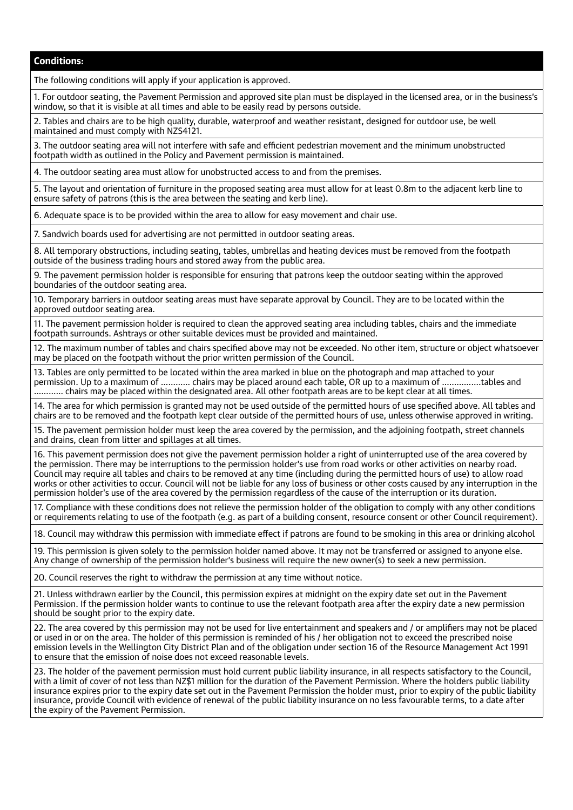**Conditions:**

The following conditions will apply if your application is approved.

1. For outdoor seating, the Pavement Permission and approved site plan must be displayed in the licensed area, or in the business's window, so that it is visible at all times and able to be easily read by persons outside.

2. Tables and chairs are to be high quality, durable, waterproof and weather resistant, designed for outdoor use, be well maintained and must comply with NZS4121.

3. The outdoor seating area will not interfere with safe and efficient pedestrian movement and the minimum unobstructed footpath width as outlined in the Policy and Pavement permission is maintained.

4. The outdoor seating area must allow for unobstructed access to and from the premises.

5. The layout and orientation of furniture in the proposed seating area must allow for at least 0.8m to the adjacent kerb line to ensure safety of patrons (this is the area between the seating and kerb line).

6. Adequate space is to be provided within the area to allow for easy movement and chair use.

7. Sandwich boards used for advertising are not permitted in outdoor seating areas.

8. All temporary obstructions, including seating, tables, umbrellas and heating devices must be removed from the footpath outside of the business trading hours and stored away from the public area.

9. The pavement permission holder is responsible for ensuring that patrons keep the outdoor seating within the approved boundaries of the outdoor seating area.

10. Temporary barriers in outdoor seating areas must have separate approval by Council. They are to be located within the approved outdoor seating area.

11. The pavement permission holder is required to clean the approved seating area including tables, chairs and the immediate footpath surrounds. Ashtrays or other suitable devices must be provided and maintained.

12. The maximum number of tables and chairs specified above may not be exceeded. No other item, structure or object whatsoever may be placed on the footpath without the prior written permission of the Council.

13. Tables are only permitted to be located within the area marked in blue on the photograph and map attached to your permission. Up to a maximum of ………… chairs may be placed around each table, OR up to a maximum of …………….tables and ………… chairs may be placed within the designated area. All other footpath areas are to be kept clear at all times.

14. The area for which permission is granted may not be used outside of the permitted hours of use specified above. All tables and chairs are to be removed and the footpath kept clear outside of the permitted hours of use, unless otherwise approved in writing.

15. The pavement permission holder must keep the area covered by the permission, and the adjoining footpath, street channels and drains, clean from litter and spillages at all times.

16. This pavement permission does not give the pavement permission holder a right of uninterrupted use of the area covered by the permission. There may be interruptions to the permission holder's use from road works or other activities on nearby road. Council may require all tables and chairs to be removed at any time (including during the permitted hours of use) to allow road works or other activities to occur. Council will not be liable for any loss of business or other costs caused by any interruption in the permission holder's use of the area covered by the permission regardless of the cause of the interruption or its duration.

17. Compliance with these conditions does not relieve the permission holder of the obligation to comply with any other conditions or requirements relating to use of the footpath (e.g. as part of a building consent, resource consent or other Council requirement).

18. Council may withdraw this permission with immediate effect if patrons are found to be smoking in this area or drinking alcohol

19. This permission is given solely to the permission holder named above. It may not be transferred or assigned to anyone else. Any change of ownership of the permission holder's business will require the new owner(s) to seek a new permission.

20. Council reserves the right to withdraw the permission at any time without notice.

21. Unless withdrawn earlier by the Council, this permission expires at midnight on the expiry date set out in the Pavement Permission. If the permission holder wants to continue to use the relevant footpath area after the expiry date a new permission should be sought prior to the expiry date.

22. The area covered by this permission may not be used for live entertainment and speakers and / or amplifiers may not be placed or used in or on the area. The holder of this permission is reminded of his / her obligation not to exceed the prescribed noise emission levels in the Wellington City District Plan and of the obligation under section 16 of the Resource Management Act 1991 to ensure that the emission of noise does not exceed reasonable levels.

23. The holder of the pavement permission must hold current public liability insurance, in all respects satisfactory to the Council, with a limit of cover of not less than NZ\$1 million for the duration of the Pavement Permission. Where the holders public liability insurance expires prior to the expiry date set out in the Pavement Permission the holder must, prior to expiry of the public liability insurance, provide Council with evidence of renewal of the public liability insurance on no less favourable terms, to a date after the expiry of the Pavement Permission.